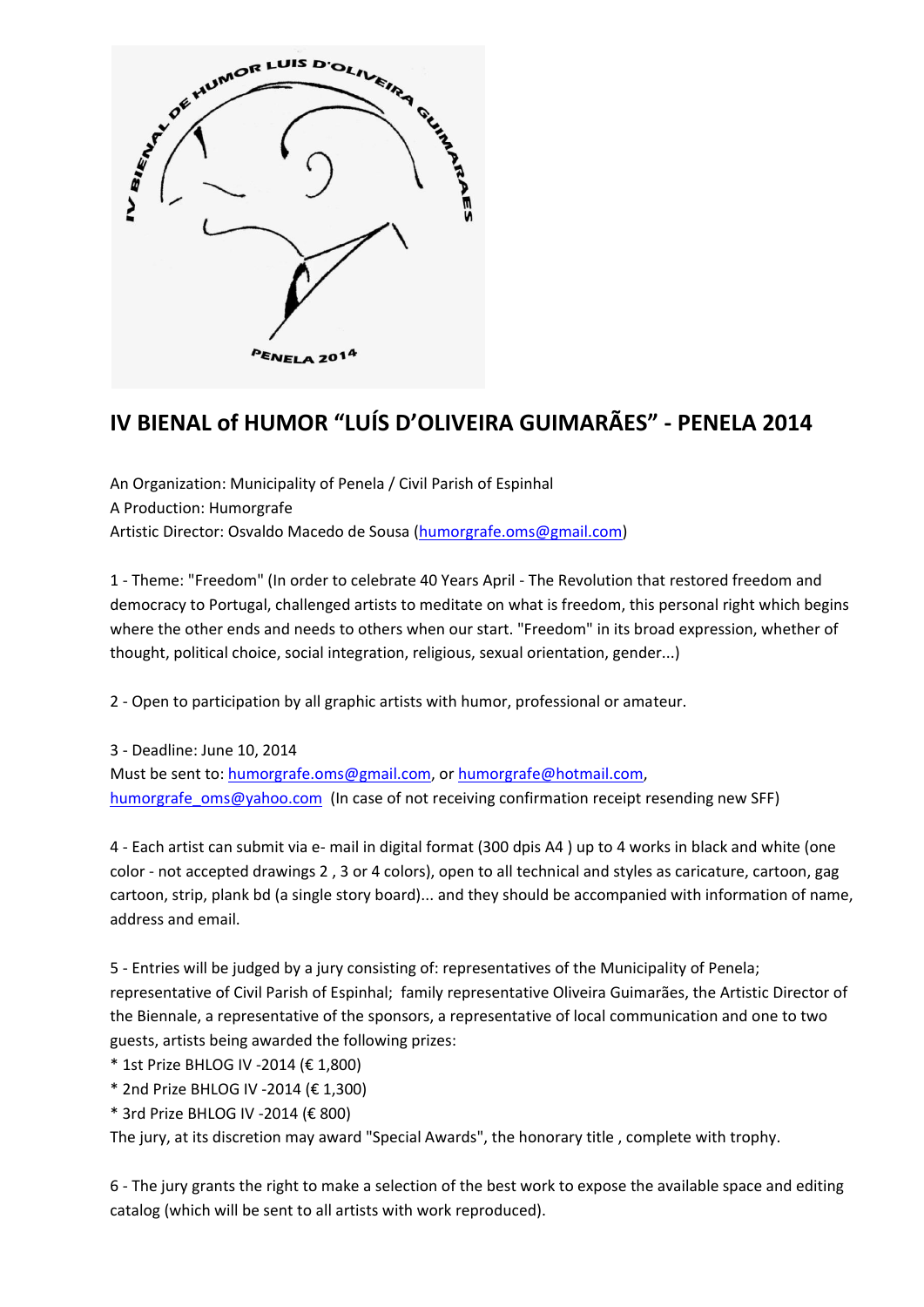

## **IV BIENAL of HUMOR "LUÍS D'OLIVEIRA GUIMARÃES" - PENELA 2014**

An Organization: Municipality of Penela / Civil Parish of Espinhal A Production: Humorgrafe Artistic Director: Osvaldo Macedo de Sousa [\(humorgrafe.oms@gmail.com\)](mailto:humorgrafe.oms@gmail.com)

1 - Theme: "Freedom" (In order to celebrate 40 Years April - The Revolution that restored freedom and democracy to Portugal, challenged artists to meditate on what is freedom, this personal right which begins where the other ends and needs to others when our start. "Freedom" in its broad expression, whether of thought, political choice, social integration, religious, sexual orientation, gender...)

2 - Open to participation by all graphic artists with humor, professional or amateur.

3 - Deadline: June 10, 2014 Must be sent to: [humorgrafe.oms@gmail.com,](mailto:humorgrafe.oms@gmail.com) or [humorgrafe@hotmail.com,](mailto:humorgrafe@hotmail.com) [humorgrafe\\_oms@yahoo.com](mailto:humorgrafe_oms@yahoo.com) (In case of not receiving confirmation receipt resending new SFF)

4 - Each artist can submit via e- mail in digital format (300 dpis A4 ) up to 4 works in black and white (one color - not accepted drawings 2 , 3 or 4 colors), open to all technical and styles as caricature, cartoon, gag cartoon, strip, plank bd (a single story board)... and they should be accompanied with information of name, address and email.

5 - Entries will be judged by a jury consisting of: representatives of the Municipality of Penela; representative of Civil Parish of Espinhal; family representative Oliveira Guimarães, the Artistic Director of the Biennale, a representative of the sponsors, a representative of local communication and one to two guests, artists being awarded the following prizes:

- \* 1st Prize BHLOG IV -2014 (€ 1,800)
- \* 2nd Prize BHLOG IV -2014 (€ 1,300)
- \* 3rd Prize BHLOG IV -2014 (€ 800)

The jury, at its discretion may award "Special Awards", the honorary title , complete with trophy.

6 - The jury grants the right to make a selection of the best work to expose the available space and editing catalog (which will be sent to all artists with work reproduced).